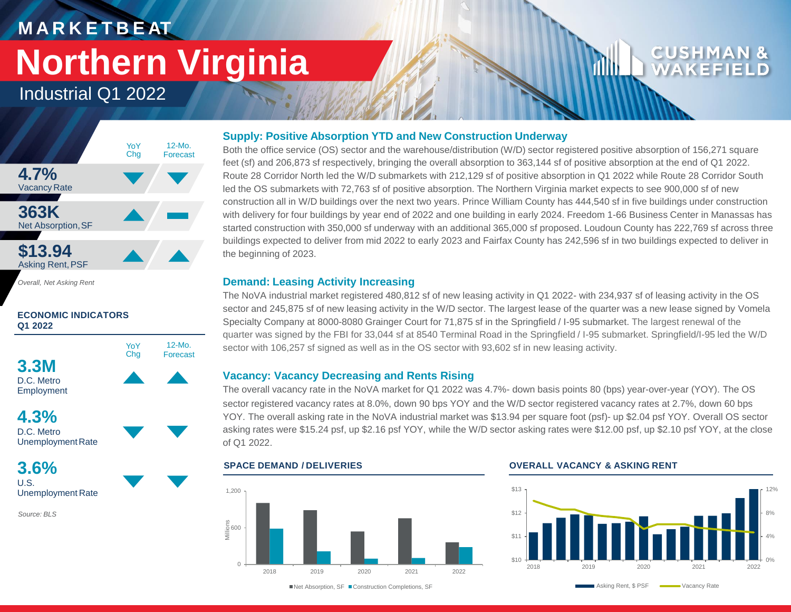# **M A R K E T B E AT Northern Virginia**

### Industrial Q1 2022



*Overall, Net Asking Rent*

### **ECONOMIC INDICATORS Q1 2022**



Employment

### **4.3%** D.C. Metro Unemployment Rate

**3.6%** U.S. Unemployment Rate

*Source: BLS*

### **Supply: Positive Absorption YTD and New Construction Underway**

Both the office service (OS) sector and the warehouse/distribution (W/D) sector registered positive absorption of 156,271 square feet (sf) and 206,873 sf respectively, bringing the overall absorption to 363,144 sf of positive absorption at the end of Q1 2022. Route 28 Corridor North led the W/D submarkets with 212,129 sf of positive absorption in Q1 2022 while Route 28 Corridor South led the OS submarkets with 72,763 sf of positive absorption. The Northern Virginia market expects to see 900,000 sf of new construction all in W/D buildings over the next two years. Prince William County has 444,540 sf in five buildings under construction with delivery for four buildings by year end of 2022 and one building in early 2024. Freedom 1-66 Business Center in Manassas has started construction with 350,000 sf underway with an additional 365,000 sf proposed. Loudoun County has 222,769 sf across three buildings expected to deliver from mid 2022 to early 2023 and Fairfax County has 242,596 sf in two buildings expected to deliver in the beginning of 2023.

### **Demand: Leasing Activity Increasing**

The NoVA industrial market registered 480,812 sf of new leasing activity in Q1 2022- with 234,937 sf of leasing activity in the OS sector and 245,875 sf of new leasing activity in the W/D sector. The largest lease of the quarter was a new lease signed by Vomela Specialty Company at 8000-8080 Grainger Court for 71,875 sf in the Springfield / I-95 submarket. The largest renewal of the quarter was signed by the FBI for 33,044 sf at 8540 Terminal Road in the Springfield / I-95 submarket. Springfield/I-95 led the W/D sector with 106,257 sf signed as well as in the OS sector with 93,602 sf in new leasing activity.

### **Vacancy: Vacancy Decreasing and Rents Rising**

The overall vacancy rate in the NoVA market for Q1 2022 was 4.7%- down basis points 80 (bps) year-over-year (YOY). The OS sector registered vacancy rates at 8.0%, down 90 bps YOY and the W/D sector registered vacancy rates at 2.7%, down 60 bps YOY. The overall asking rate in the NoVA industrial market was \$13.94 per square foot (psf)- up \$2.04 psf YOY. Overall OS sector asking rates were \$15.24 psf, up \$2.16 psf YOY, while the W/D sector asking rates were \$12.00 psf, up \$2.10 psf YOY, at the close of Q1 2022.

## $\cap$ 600<br>Milli⊜<br>Milli 1,200 2018 2019 2020 2021 2022

### **SPACE DEMAND / DELIVERIES OVERALL VACANCY & ASKING RENT**



■Net Absorption, SF ■ Construction Completions, SF

Asking Rent, \$ PSF Vacancy Rate